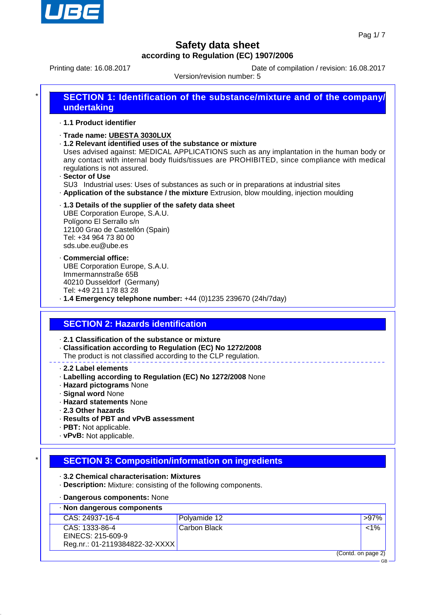

 $\overline{C}$ 

## **Safety data sheet according to Regulation (EC) 1907/2006**

Printing date: 16.08.2017 Date of compilation / revision: 16.08.2017

Version/revision number: 5

| SECTION 1: Identification of the substance/mixture and of the company/<br>undertaking |
|---------------------------------------------------------------------------------------|
|                                                                                       |

#### · **1.1 Product identifier**

- · **Trade name: UBESTA 3030LUX**
- · **1.2 Relevant identified uses of the substance or mixture**

Uses advised against: MEDICAL APPLICATIONS such as any implantation in the human body or any contact with internal body fluids/tissues are PROHIBITED, since compliance with medical regulations is not assured.

· **Sector of Use**

SU3 Industrial uses: Uses of substances as such or in preparations at industrial sites · **Application of the substance / the mixture** Extrusion, blow moulding, injection moulding

· **1.3 Details of the supplier of the safety data sheet**

UBE Corporation Europe, S.A.U. Polígono El Serrallo s/n 12100 Grao de Castellón (Spain) Tel: +34 964 73 80 00 sds.ube.eu@ube.es

- · **Commercial office:** UBE Corporation Europe, S.A.U. Immermannstraße 65B 40210 Dusseldorf (Germany) Tel: +49 211 178 83 28
- · **1.4 Emergency telephone number:** +44 (0)1235 239670 (24h/7day)

### **SECTION 2: Hazards identification**

- · **2.1 Classification of the substance or mixture**
- · **Classification according to Regulation (EC) No 1272/2008**
- The product is not classified according to the CLP regulation.
- · **2.2 Label elements**
- · **Labelling according to Regulation (EC) No 1272/2008** None
- · **Hazard pictograms** None
- · **Signal word** None
- · **Hazard statements** None
- · **2.3 Other hazards**
- · **Results of PBT and vPvB assessment**
- · **PBT:** Not applicable.
- · **vPvB:** Not applicable.

### **SECTION 3: Composition/information on ingredients**

- · **3.2 Chemical characterisation: Mixtures**
- · **Description:** Mixture: consisting of the following components.
- · **Dangerous components:** None

| · Non dangerous components                                            |              |                |
|-----------------------------------------------------------------------|--------------|----------------|
| CAS: 24937-16-4                                                       | Polyamide 12 | <b>&gt;97%</b> |
| CAS: 1333-86-4<br>EINECS: 215-609-9<br>Reg.nr.: 01-2119384822-32-XXXX | Carbon Black | $1\%$          |
| (Contd. on page 2)                                                    |              |                |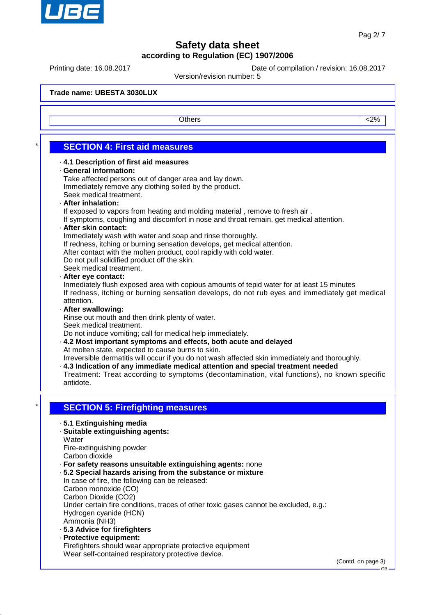

Printing date: 16.08.2017 Date of compilation / revision: 16.08.2017

Version/revision number: 5

**Trade name: UBESTA 3030LUX** Others and the contract of the contract of  $\sim$  2% **SECTION 4: First aid measures** · **4.1 Description of first aid measures** · **General information:** Take affected persons out of danger area and lay down. Immediately remove any clothing soiled by the product. Seek medical treatment. · **After inhalation:** If exposed to vapors from heating and molding material , remove to fresh air . If symptoms, coughing and discomfort in nose and throat remain, get medical attention. · **After skin contact:** Immediately wash with water and soap and rinse thoroughly. If redness, itching or burning sensation develops, get medical attention. After contact with the molten product, cool rapidly with cold water. Do not pull solidified product off the skin. Seek medical treatment. · **After eye contact:** Inmediately flush exposed area with copious amounts of tepid water for at least 15 minutes If redness, itching or burning sensation develops, do not rub eyes and immediately get medical attention. · **After swallowing:** Rinse out mouth and then drink plenty of water. Seek medical treatment. Do not induce vomiting; call for medical help immediately. · **4.2 Most important symptoms and effects, both acute and delayed** At molten state, expected to cause burns to skin. Irreversible dermatitis will occur if you do not wash affected skin immediately and thoroughly. · **4.3 Indication of any immediate medical attention and special treatment needed** Treatment: Treat according to symptoms (decontamination, vital functions), no known specific antidote. **SECTION 5: Firefighting measures** · **5.1 Extinguishing media** · **Suitable extinguishing agents: Water** Fire-extinguishing powder Carbon dioxide · **For safety reasons unsuitable extinguishing agents:** none · **5.2 Special hazards arising from the substance or mixture** In case of fire, the following can be released: Carbon monoxide (CO) Carbon Dioxide (CO2) Under certain fire conditions, traces of other toxic gases cannot be excluded, e.g.: Hydrogen cyanide (HCN) Ammonia (NH3) · **5.3 Advice for firefighters** · **Protective equipment:** Firefighters should wear appropriate protective equipment Wear self-contained respiratory protective device. (Contd. on page 3) GB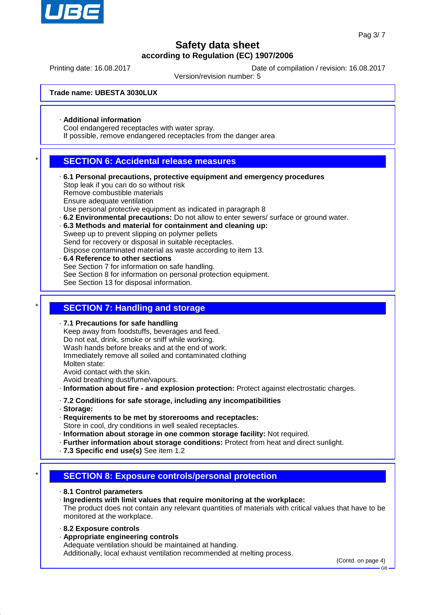

Printing date: 16.08.2017 Date of compilation / revision: 16.08.2017

Version/revision number: 5

**Trade name: UBESTA 3030LUX**

· **Additional information**

Cool endangered receptacles with water spray.

If possible, remove endangered receptacles from the danger area

### **SECTION 6: Accidental release measures**

- · **6.1 Personal precautions, protective equipment and emergency procedures** Stop leak if you can do so without risk Remove combustible materials Ensure adequate ventilation Use personal protective equipment as indicated in paragraph 8
- · **6.2 Environmental precautions:** Do not allow to enter sewers/ surface or ground water.
- · **6.3 Methods and material for containment and cleaning up:**

Sweep up to prevent slipping on polymer pellets Send for recovery or disposal in suitable receptacles.

Dispose contaminated material as waste according to item 13.

· **6.4 Reference to other sections** See Section 7 for information on safe handling. See Section 8 for information on personal protection equipment. See Section 13 for disposal information.

### **SECTION 7: Handling and storage**

· **7.1 Precautions for safe handling**

Keep away from foodstuffs, beverages and feed. Do not eat, drink, smoke or sniff while working. Wash hands before breaks and at the end of work. Immediately remove all soiled and contaminated clothing Molten state: Avoid contact with the skin. Avoid breathing dust/fume/vapours.

- · **Information about fire and explosion protection:** Protect against electrostatic charges.
- · **7.2 Conditions for safe storage, including any incompatibilities**
- · **Storage:**
- · **Requirements to be met by storerooms and receptacles:**
- Store in cool, dry conditions in well sealed receptacles.
- · **Information about storage in one common storage facility:** Not required.
- · **Further information about storage conditions:** Protect from heat and direct sunlight.
- · **7.3 Specific end use(s)** See item 1.2

## **SECTION 8: Exposure controls/personal protection**

- · **8.1 Control parameters**
- · **Ingredients with limit values that require monitoring at the workplace:** The product does not contain any relevant quantities of materials with critical values that have to be monitored at the workplace.
- · **8.2 Exposure controls**
- · **Appropriate engineering controls** Adequate ventilation should be maintained at handing. Additionally, local exhaust ventilation recommended at melting process.

(Contd. on page 4)

GB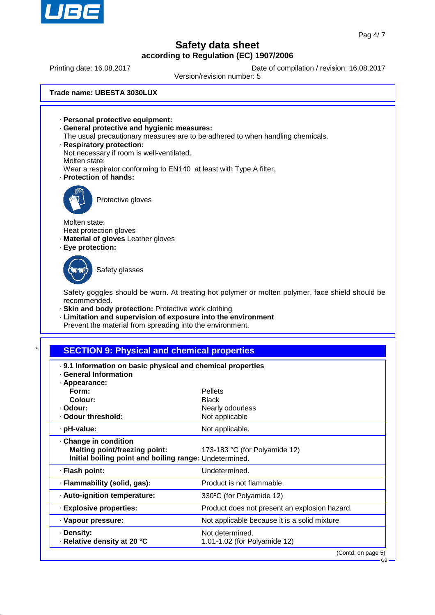

**GB** 

# **Safety data sheet according to Regulation (EC) 1907/2006**

Printing date: 16.08.2017 Date of compilation / revision: 16.08.2017

Version/revision number: 5

**Trade name: UBESTA 3030LUX**

· **Personal protective equipment:** · **General protective and hygienic measures:** The usual precautionary measures are to be adhered to when handling chemicals. · **Respiratory protection:** Not necessary if room is well-ventilated. Molten state: Wear a respirator conforming to EN140 at least with Type A filter. · **Protection of hands:** Protective gloves Molten state: Heat protection gloves · **Material of gloves** Leather gloves · **Eye protection:** Safety glasses Safety goggles should be worn. At treating hot polymer or molten polymer, face shield should be recommended. · **Skin and body protection:** Protective work clothing · **Limitation and supervision of exposure into the environment** Prevent the material from spreading into the environment.

## **SECTION 9: Physical and chemical properties**

| . 9.1 Information on basic physical and chemical properties<br>· General Information                                  |                                                 |  |
|-----------------------------------------------------------------------------------------------------------------------|-------------------------------------------------|--|
| · Appearance:                                                                                                         |                                                 |  |
| Form:                                                                                                                 | Pellets                                         |  |
| Colour:                                                                                                               | <b>Black</b>                                    |  |
| · Odour:                                                                                                              | Nearly odourless                                |  |
| · Odour threshold:                                                                                                    | Not applicable                                  |  |
| · pH-value:                                                                                                           | Not applicable.                                 |  |
| Change in condition<br><b>Melting point/freezing point:</b><br>Initial boiling point and boiling range: Undetermined. | 173-183 °C (for Polyamide 12)                   |  |
| · Flash point:                                                                                                        | Undetermined.                                   |  |
| · Flammability (solid, gas):                                                                                          | Product is not flammable.                       |  |
| · Auto-ignition temperature:                                                                                          | 330°C (for Polyamide 12)                        |  |
| · Explosive properties:                                                                                               | Product does not present an explosion hazard.   |  |
| · Vapour pressure:                                                                                                    | Not applicable because it is a solid mixture    |  |
| · Density:<br>⋅ Relative density at 20 °C                                                                             | Not determined.<br>1.01-1.02 (for Polyamide 12) |  |
|                                                                                                                       | (Contd. on page 5)                              |  |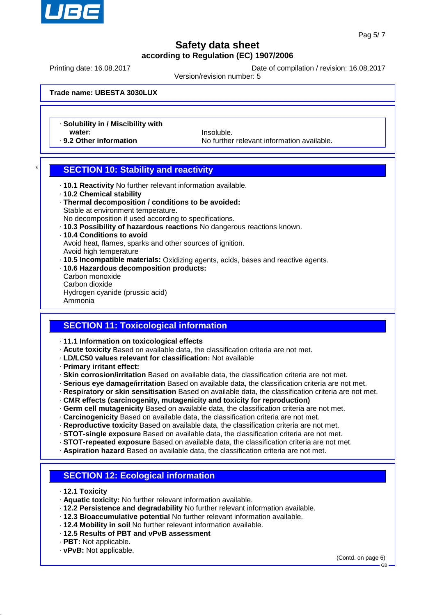

Printing date: 16.08.2017 Date of compilation / revision: 16.08.2017

Version/revision number: 5

**Trade name: UBESTA 3030LUX**

· **Solubility in / Miscibility with**

water: **We are all the United States of the United States of the United States of the United States of the United States of the United States of the United States of the United States of the United States of the United Sta** · 9.2 Other information **No further relevant information available.** 

## **SECTION 10: Stability and reactivity**

- · **10.1 Reactivity** No further relevant information available.
- · **10.2 Chemical stability**
- · **Thermal decomposition / conditions to be avoided:** Stable at environment temperature.
- No decomposition if used according to specifications.
- · **10.3 Possibility of hazardous reactions** No dangerous reactions known.
- · **10.4 Conditions to avoid** Avoid heat, flames, sparks and other sources of ignition.

Avoid high temperature

- · **10.5 Incompatible materials:** Oxidizing agents, acids, bases and reactive agents.
- · **10.6 Hazardous decomposition products:** Carbon monoxide Carbon dioxide Hydrogen cyanide (prussic acid) Ammonia

### **SECTION 11: Toxicological information**

- · **11.1 Information on toxicological effects**
- · **Acute toxicity** Based on available data, the classification criteria are not met.
- · **LD/LC50 values relevant for classification:** Not available
- · **Primary irritant effect:**
- · **Skin corrosion/irritation** Based on available data, the classification criteria are not met.
- · **Serious eye damage/irritation** Based on available data, the classification criteria are not met.
- · **Respiratory or skin sensitisation** Based on available data, the classification criteria are not met.
- · **CMR effects (carcinogenity, mutagenicity and toxicity for reproduction)**
- · **Germ cell mutagenicity** Based on available data, the classification criteria are not met.
- · **Carcinogenicity** Based on available data, the classification criteria are not met.
- · **Reproductive toxicity** Based on available data, the classification criteria are not met.
- · **STOT-single exposure** Based on available data, the classification criteria are not met.
- · **STOT-repeated exposure** Based on available data, the classification criteria are not met.
- · **Aspiration hazard** Based on available data, the classification criteria are not met.

## **SECTION 12: Ecological information**

- · **12.1 Toxicity**
- · **Aquatic toxicity:** No further relevant information available.
- · **12.2 Persistence and degradability** No further relevant information available.
- · **12.3 Bioaccumulative potential** No further relevant information available.
- · **12.4 Mobility in soil** No further relevant information available.
- · **12.5 Results of PBT and vPvB assessment**
- · **PBT:** Not applicable.
- · **vPvB:** Not applicable.

(Contd. on page 6)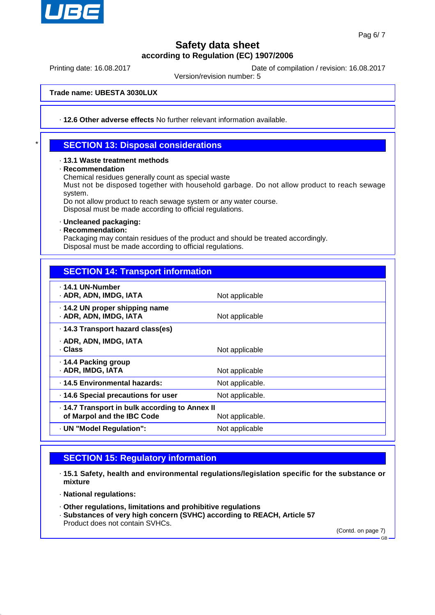

Printing date: 16.08.2017 Date of compilation / revision: 16.08.2017

Version/revision number: 5

**Trade name: UBESTA 3030LUX**

· **12.6 Other adverse effects** No further relevant information available.

## **SECTION 13: Disposal considerations**

#### · **13.1 Waste treatment methods**

#### · **Recommendation**

Chemical residues generally count as special waste

Must not be disposed together with household garbage. Do not allow product to reach sewage system.

Do not allow product to reach sewage system or any water course.

Disposal must be made according to official regulations.

#### · **Uncleaned packaging:**

· **Recommendation:**

Packaging may contain residues of the product and should be treated accordingly. Disposal must be made according to official regulations.

## **SECTION 14: Transport information**

| ⋅ 14.1 UN-Number<br>· ADR, ADN, IMDG, IATA                                   | Not applicable  |
|------------------------------------------------------------------------------|-----------------|
| .14.2 UN proper shipping name<br>· ADR, ADN, IMDG, IATA                      | Not applicable  |
| · 14.3 Transport hazard class(es)                                            |                 |
| · ADR, ADN, IMDG, IATA<br>· Class                                            | Not applicable  |
| ⋅ 14.4 Packing group<br>· ADR, IMDG, IATA                                    | Not applicable  |
| · 14.5 Environmental hazards:                                                | Not applicable. |
| 14.6 Special precautions for user                                            | Not applicable. |
| · 14.7 Transport in bulk according to Annex II<br>of Marpol and the IBC Code | Not applicable. |
| · UN "Model Regulation":                                                     | Not applicable  |
|                                                                              |                 |

## **SECTION 15: Regulatory information**

- · **15.1 Safety, health and environmental regulations/legislation specific for the substance or mixture**
- · **National regulations:**
- · **Other regulations, limitations and prohibitive regulations**
- · **Substances of very high concern (SVHC) according to REACH, Article 57** Product does not contain SVHCs.

(Contd. on page 7)

GB